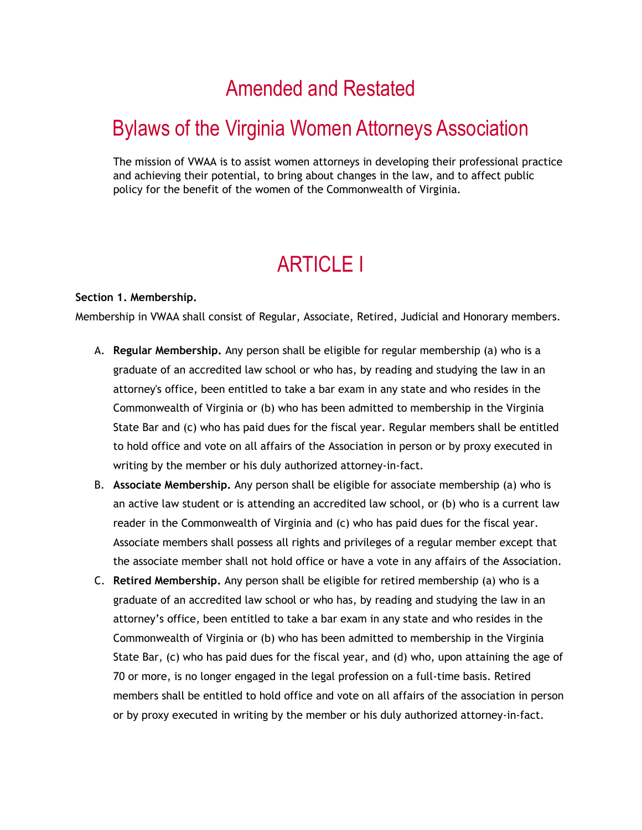## Amended and Restated

## Bylaws of the Virginia Women Attorneys Association

The mission of VWAA is to assist women attorneys in developing their professional practice and achieving their potential, to bring about changes in the law, and to affect public policy for the benefit of the women of the Commonwealth of Virginia.

## ARTICLE I

#### **Section 1. Membership.**

Membership in VWAA shall consist of Regular, Associate, Retired, Judicial and Honorary members.

- A. **Regular Membership.** Any person shall be eligible for regular membership (a) who is a graduate of an accredited law school or who has, by reading and studying the law in an attorney's office, been entitled to take a bar exam in any state and who resides in the Commonwealth of Virginia or (b) who has been admitted to membership in the Virginia State Bar and (c) who has paid dues for the fiscal year. Regular members shall be entitled to hold office and vote on all affairs of the Association in person or by proxy executed in writing by the member or his duly authorized attorney-in-fact.
- B. **Associate Membership.** Any person shall be eligible for associate membership (a) who is an active law student or is attending an accredited law school, or (b) who is a current law reader in the Commonwealth of Virginia and (c) who has paid dues for the fiscal year. Associate members shall possess all rights and privileges of a regular member except that the associate member shall not hold office or have a vote in any affairs of the Association.
- C. **Retired Membership.** Any person shall be eligible for retired membership (a) who is a graduate of an accredited law school or who has, by reading and studying the law in an attorney's office, been entitled to take a bar exam in any state and who resides in the Commonwealth of Virginia or (b) who has been admitted to membership in the Virginia State Bar, (c) who has paid dues for the fiscal year, and (d) who, upon attaining the age of 70 or more, is no longer engaged in the legal profession on a full-time basis. Retired members shall be entitled to hold office and vote on all affairs of the association in person or by proxy executed in writing by the member or his duly authorized attorney-in-fact.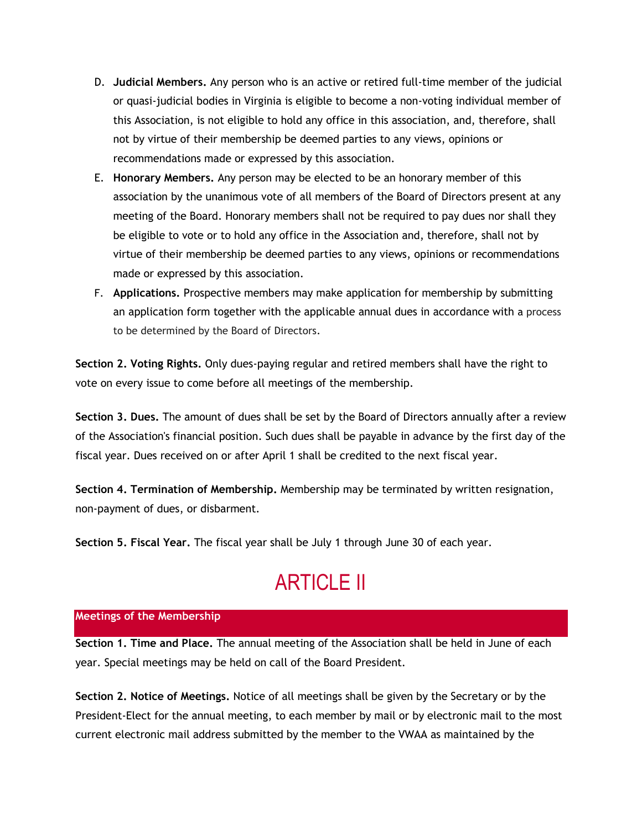- D. **Judicial Members.** Any person who is an active or retired full-time member of the judicial or quasi-judicial bodies in Virginia is eligible to become a non-voting individual member of this Association, is not eligible to hold any office in this association, and, therefore, shall not by virtue of their membership be deemed parties to any views, opinions or recommendations made or expressed by this association.
- E. **Honorary Members.** Any person may be elected to be an honorary member of this association by the unanimous vote of all members of the Board of Directors present at any meeting of the Board. Honorary members shall not be required to pay dues nor shall they be eligible to vote or to hold any office in the Association and, therefore, shall not by virtue of their membership be deemed parties to any views, opinions or recommendations made or expressed by this association.
- F. **Applications.** Prospective members may make application for membership by submitting an application form together with the applicable annual dues in accordance with a process to be determined by the Board of Directors.

**Section 2. Voting Rights.** Only dues-paying regular and retired members shall have the right to vote on every issue to come before all meetings of the membership.

**Section 3. Dues.** The amount of dues shall be set by the Board of Directors annually after a review of the Association's financial position. Such dues shall be payable in advance by the first day of the fiscal year. Dues received on or after April 1 shall be credited to the next fiscal year.

**Section 4. Termination of Membership.** Membership may be terminated by written resignation, non-payment of dues, or disbarment.

**Section 5. Fiscal Year.** The fiscal year shall be July 1 through June 30 of each year.

# ARTICLE II

### **Meetings of the Membership**

**Section 1. Time and Place.** The annual meeting of the Association shall be held in June of each year. Special meetings may be held on call of the Board President.

**Section 2. Notice of Meetings.** Notice of all meetings shall be given by the Secretary or by the President-Elect for the annual meeting, to each member by mail or by electronic mail to the most current electronic mail address submitted by the member to the VWAA as maintained by the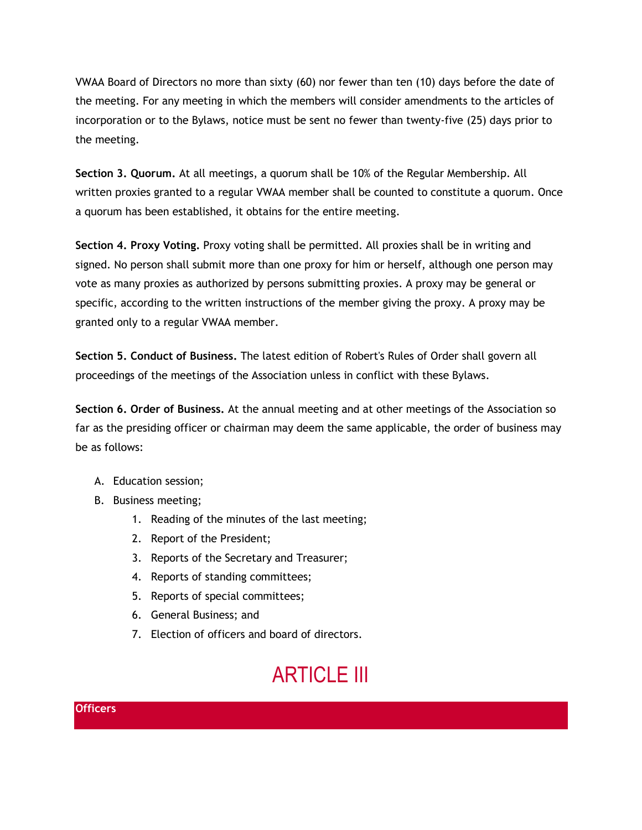VWAA Board of Directors no more than sixty (60) nor fewer than ten (10) days before the date of the meeting. For any meeting in which the members will consider amendments to the articles of incorporation or to the Bylaws, notice must be sent no fewer than twenty-five (25) days prior to the meeting.

**Section 3. Quorum.** At all meetings, a quorum shall be 10% of the Regular Membership. All written proxies granted to a regular VWAA member shall be counted to constitute a quorum. Once a quorum has been established, it obtains for the entire meeting.

**Section 4. Proxy Voting.** Proxy voting shall be permitted. All proxies shall be in writing and signed. No person shall submit more than one proxy for him or herself, although one person may vote as many proxies as authorized by persons submitting proxies. A proxy may be general or specific, according to the written instructions of the member giving the proxy. A proxy may be granted only to a regular VWAA member.

**Section 5. Conduct of Business.** The latest edition of Robert's Rules of Order shall govern all proceedings of the meetings of the Association unless in conflict with these Bylaws.

**Section 6. Order of Business.** At the annual meeting and at other meetings of the Association so far as the presiding officer or chairman may deem the same applicable, the order of business may be as follows:

- A. Education session;
- B. Business meeting;
	- 1. Reading of the minutes of the last meeting;
	- 2. Report of the President;
	- 3. Reports of the Secretary and Treasurer;
	- 4. Reports of standing committees;
	- 5. Reports of special committees;
	- 6. General Business; and
	- 7. Election of officers and board of directors.

# **ARTICLE III**

### **Officers**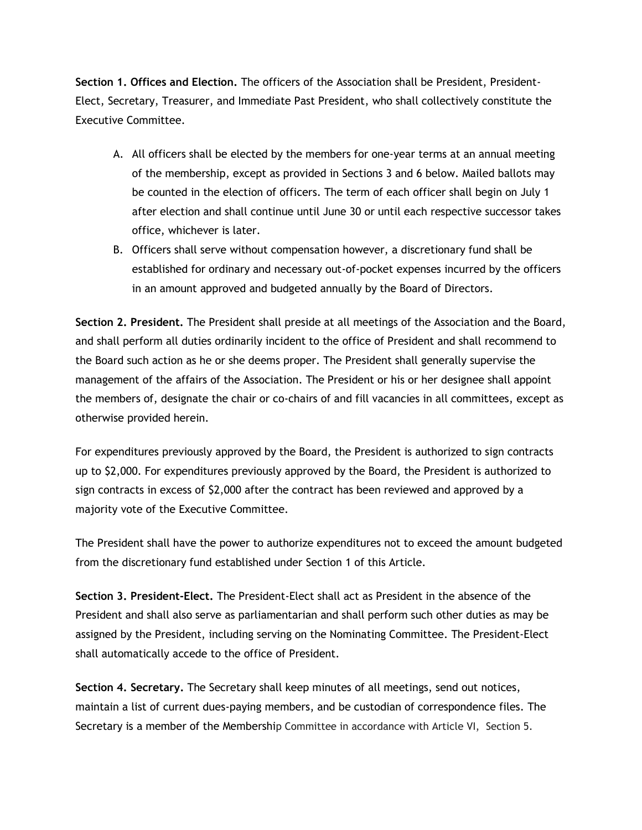**Section 1. Offices and Election.** The officers of the Association shall be President, President-Elect, Secretary, Treasurer, and Immediate Past President, who shall collectively constitute the Executive Committee.

- A. All officers shall be elected by the members for one-year terms at an annual meeting of the membership, except as provided in Sections 3 and 6 below. Mailed ballots may be counted in the election of officers. The term of each officer shall begin on July 1 after election and shall continue until June 30 or until each respective successor takes office, whichever is later.
- B. Officers shall serve without compensation however, a discretionary fund shall be established for ordinary and necessary out-of-pocket expenses incurred by the officers in an amount approved and budgeted annually by the Board of Directors.

**Section 2. President.** The President shall preside at all meetings of the Association and the Board, and shall perform all duties ordinarily incident to the office of President and shall recommend to the Board such action as he or she deems proper. The President shall generally supervise the management of the affairs of the Association. The President or his or her designee shall appoint the members of, designate the chair or co-chairs of and fill vacancies in all committees, except as otherwise provided herein.

For expenditures previously approved by the Board, the President is authorized to sign contracts up to \$2,000. For expenditures previously approved by the Board, the President is authorized to sign contracts in excess of \$2,000 after the contract has been reviewed and approved by a majority vote of the Executive Committee.

The President shall have the power to authorize expenditures not to exceed the amount budgeted from the discretionary fund established under Section 1 of this Article.

**Section 3. President-Elect.** The President-Elect shall act as President in the absence of the President and shall also serve as parliamentarian and shall perform such other duties as may be assigned by the President, including serving on the Nominating Committee. The President-Elect shall automatically accede to the office of President.

**Section 4. Secretary.** The Secretary shall keep minutes of all meetings, send out notices, maintain a list of current dues-paying members, and be custodian of correspondence files. The Secretary is a member of the Membership Committee in accordance with Article VI, Section 5.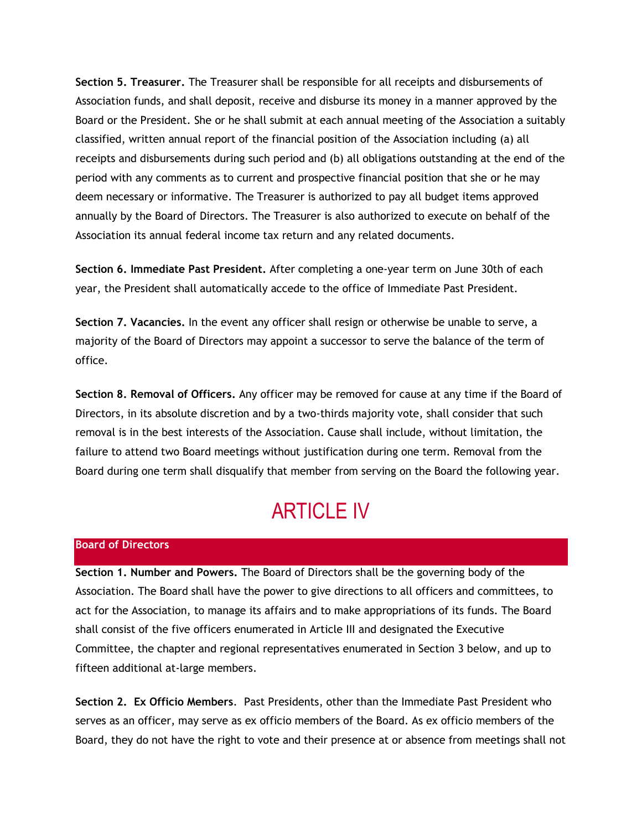**Section 5. Treasurer.** The Treasurer shall be responsible for all receipts and disbursements of Association funds, and shall deposit, receive and disburse its money in a manner approved by the Board or the President. She or he shall submit at each annual meeting of the Association a suitably classified, written annual report of the financial position of the Association including (a) all receipts and disbursements during such period and (b) all obligations outstanding at the end of the period with any comments as to current and prospective financial position that she or he may deem necessary or informative. The Treasurer is authorized to pay all budget items approved annually by the Board of Directors. The Treasurer is also authorized to execute on behalf of the Association its annual federal income tax return and any related documents.

**Section 6. Immediate Past President.** After completing a one-year term on June 30th of each year, the President shall automatically accede to the office of Immediate Past President.

**Section 7. Vacancies.** In the event any officer shall resign or otherwise be unable to serve, a majority of the Board of Directors may appoint a successor to serve the balance of the term of office.

**Section 8. Removal of Officers.** Any officer may be removed for cause at any time if the Board of Directors, in its absolute discretion and by a two-thirds majority vote, shall consider that such removal is in the best interests of the Association. Cause shall include, without limitation, the failure to attend two Board meetings without justification during one term. Removal from the Board during one term shall disqualify that member from serving on the Board the following year.

## ARTICLE IV

#### **Board of Directors**

**Section 1. Number and Powers.** The Board of Directors shall be the governing body of the Association. The Board shall have the power to give directions to all officers and committees, to act for the Association, to manage its affairs and to make appropriations of its funds. The Board shall consist of the five officers enumerated in Article III and designated the Executive Committee, the chapter and regional representatives enumerated in Section 3 below, and up to fifteen additional at-large members.

**Section 2. Ex Officio Members**. Past Presidents, other than the Immediate Past President who serves as an officer, may serve as ex officio members of the Board. As ex officio members of the Board, they do not have the right to vote and their presence at or absence from meetings shall not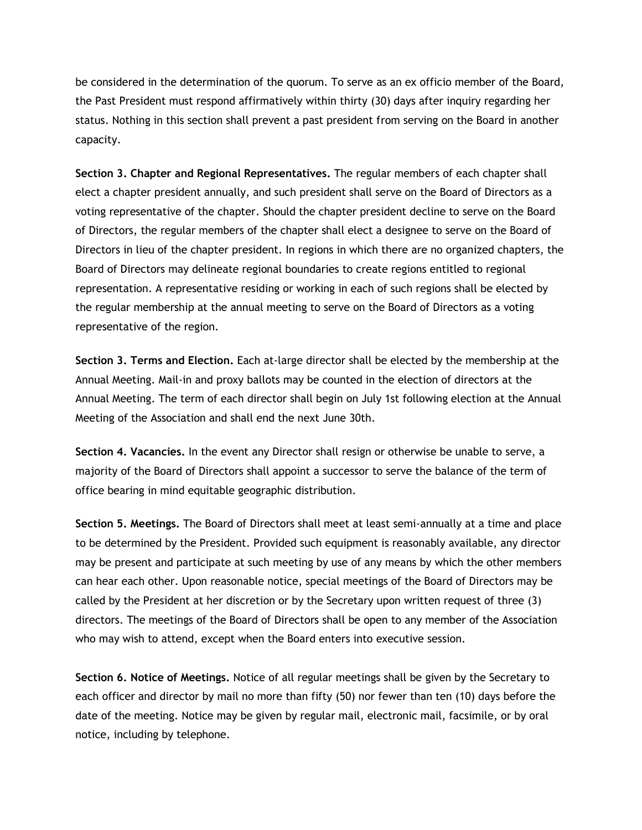be considered in the determination of the quorum. To serve as an ex officio member of the Board, the Past President must respond affirmatively within thirty (30) days after inquiry regarding her status. Nothing in this section shall prevent a past president from serving on the Board in another capacity.

**Section 3. Chapter and Regional Representatives.** The regular members of each chapter shall elect a chapter president annually, and such president shall serve on the Board of Directors as a voting representative of the chapter. Should the chapter president decline to serve on the Board of Directors, the regular members of the chapter shall elect a designee to serve on the Board of Directors in lieu of the chapter president. In regions in which there are no organized chapters, the Board of Directors may delineate regional boundaries to create regions entitled to regional representation. A representative residing or working in each of such regions shall be elected by the regular membership at the annual meeting to serve on the Board of Directors as a voting representative of the region.

**Section 3. Terms and Election.** Each at-large director shall be elected by the membership at the Annual Meeting. Mail-in and proxy ballots may be counted in the election of directors at the Annual Meeting. The term of each director shall begin on July 1st following election at the Annual Meeting of the Association and shall end the next June 30th.

**Section 4. Vacancies.** In the event any Director shall resign or otherwise be unable to serve, a majority of the Board of Directors shall appoint a successor to serve the balance of the term of office bearing in mind equitable geographic distribution.

**Section 5. Meetings.** The Board of Directors shall meet at least semi-annually at a time and place to be determined by the President. Provided such equipment is reasonably available, any director may be present and participate at such meeting by use of any means by which the other members can hear each other. Upon reasonable notice, special meetings of the Board of Directors may be called by the President at her discretion or by the Secretary upon written request of three (3) directors. The meetings of the Board of Directors shall be open to any member of the Association who may wish to attend, except when the Board enters into executive session.

**Section 6. Notice of Meetings.** Notice of all regular meetings shall be given by the Secretary to each officer and director by mail no more than fifty (50) nor fewer than ten (10) days before the date of the meeting. Notice may be given by regular mail, electronic mail, facsimile, or by oral notice, including by telephone.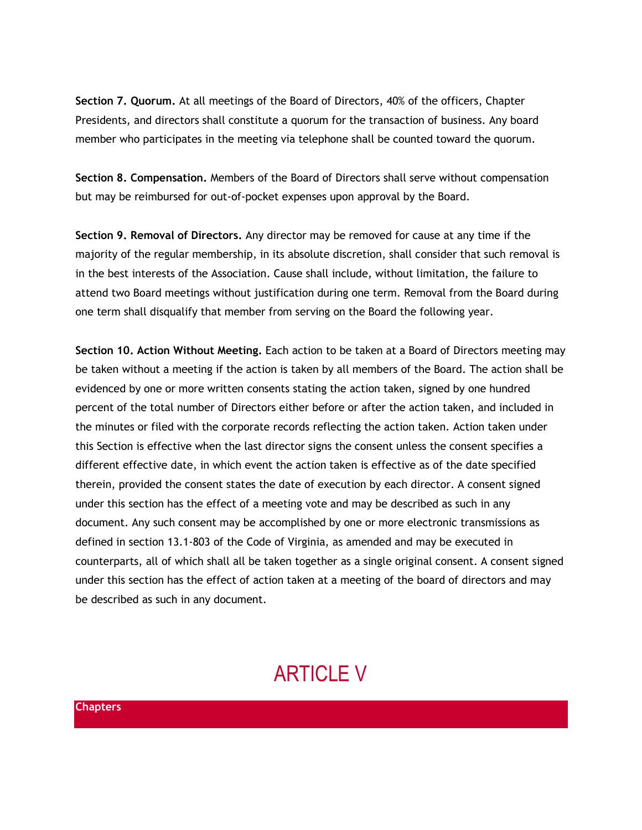**Section 7. Quorum.** At all meetings of the Board of Directors, 40% of the officers, Chapter Presidents, and directors shall constitute a quorum for the transaction of business. Any board member who participates in the meeting via telephone shall be counted toward the quorum.

**Section 8. Compensation.** Members of the Board of Directors shall serve without compensation but may be reimbursed for out-of-pocket expenses upon approval by the Board.

**Section 9. Removal of Directors.** Any director may be removed for cause at any time if the majority of the regular membership, in its absolute discretion, shall consider that such removal is in the best interests of the Association. Cause shall include, without limitation, the failure to attend two Board meetings without justification during one term. Removal from the Board during one term shall disqualify that member from serving on the Board the following year.

**Section 10. Action Without Meeting.** Each action to be taken at a Board of Directors meeting may be taken without a meeting if the action is taken by all members of the Board. The action shall be evidenced by one or more written consents stating the action taken, signed by one hundred percent of the total number of Directors either before or after the action taken, and included in the minutes or filed with the corporate records reflecting the action taken. Action taken under this Section is effective when the last director signs the consent unless the consent specifies a different effective date, in which event the action taken is effective as of the date specified therein, provided the consent states the date of execution by each director. A consent signed under this section has the effect of a meeting vote and may be described as such in any document. Any such consent may be accomplished by one or more electronic transmissions as defined in section 13.1-803 of the Code of Virginia, as amended and may be executed in counterparts, all of which shall all be taken together as a single original consent. A consent signed under this section has the effect of action taken at a meeting of the board of directors and may be described as such in any document.

# ARTICLE V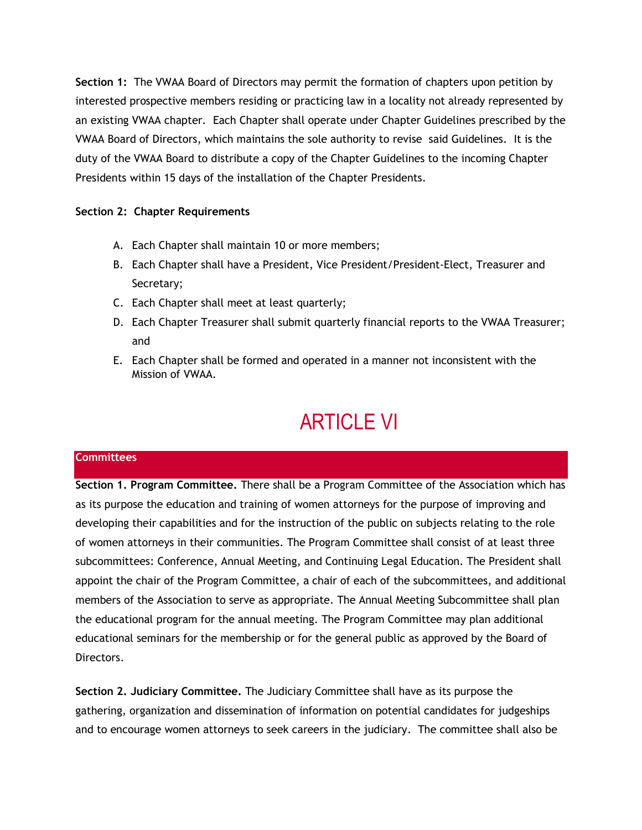**Section 1:** The VWAA Board of Directors may permit the formation of chapters upon petition by interested prospective members residing or practicing law in a locality not already represented by an existing VWAA chapter. Each Chapter shall operate under Chapter Guidelines prescribed by the VWAA Board of Directors, which maintains the sole authority to revise said Guidelines. It is the duty of the VWAA Board to distribute a copy of the Chapter Guidelines to the incoming Chapter Presidents within 15 days of the installation of the Chapter Presidents.

## **Section 2: Chapter Requirements**

- A. Each Chapter shall maintain 10 or more members;
- B. Each Chapter shall have a President, Vice President/President-Elect, Treasurer and Secretary;
- C. Each Chapter shall meet at least quarterly;
- D. Each Chapter Treasurer shall submit quarterly financial reports to the VWAA Treasurer; and
- E. Each Chapter shall be formed and operated in a manner not inconsistent with the Mission of VWAA.

# ARTICLE VI

### **Committees**

**Section 1. Program Committee.** There shall be a Program Committee of the Association which has as its purpose the education and training of women attorneys for the purpose of improving and developing their capabilities and for the instruction of the public on subjects relating to the role of women attorneys in their communities. The Program Committee shall consist of at least three subcommittees: Conference, Annual Meeting, and Continuing Legal Education. The President shall appoint the chair of the Program Committee, a chair of each of the subcommittees, and additional members of the Association to serve as appropriate. The Annual Meeting Subcommittee shall plan the educational program for the annual meeting. The Program Committee may plan additional educational seminars for the membership or for the general public as approved by the Board of Directors.

**Section 2. Judiciary Committee.** The Judiciary Committee shall have as its purpose the gathering, organization and dissemination of information on potential candidates for judgeships and to encourage women attorneys to seek careers in the judiciary. The committee shall also be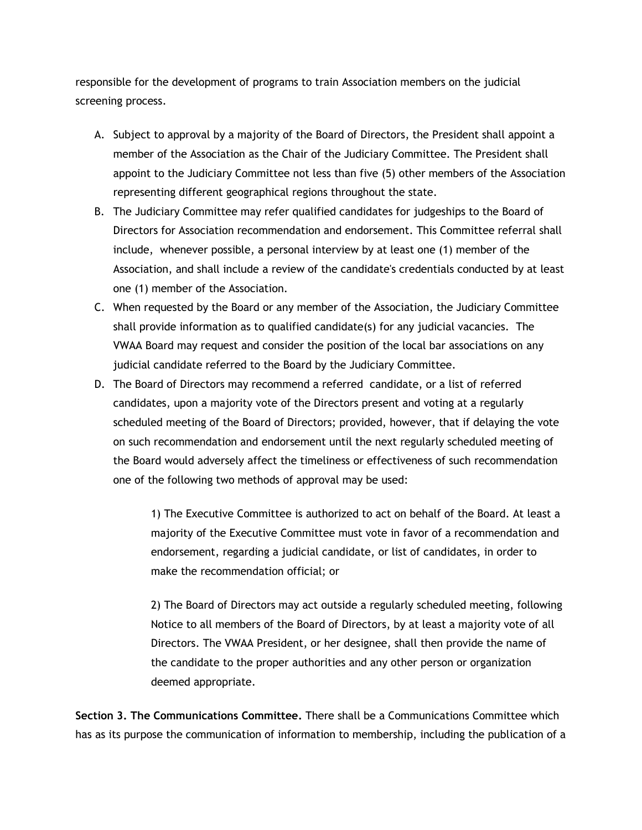responsible for the development of programs to train Association members on the judicial screening process.

- A. Subject to approval by a majority of the Board of Directors, the President shall appoint a member of the Association as the Chair of the Judiciary Committee. The President shall appoint to the Judiciary Committee not less than five (5) other members of the Association representing different geographical regions throughout the state.
- B. The Judiciary Committee may refer qualified candidates for judgeships to the Board of Directors for Association recommendation and endorsement. This Committee referral shall include, whenever possible, a personal interview by at least one (1) member of the Association, and shall include a review of the candidate's credentials conducted by at least one (1) member of the Association.
- C. When requested by the Board or any member of the Association, the Judiciary Committee shall provide information as to qualified candidate(s) for any judicial vacancies. The VWAA Board may request and consider the position of the local bar associations on any judicial candidate referred to the Board by the Judiciary Committee.
- D. The Board of Directors may recommend a referred candidate, or a list of referred candidates, upon a majority vote of the Directors present and voting at a regularly scheduled meeting of the Board of Directors; provided, however, that if delaying the vote on such recommendation and endorsement until the next regularly scheduled meeting of the Board would adversely affect the timeliness or effectiveness of such recommendation one of the following two methods of approval may be used:

1) The Executive Committee is authorized to act on behalf of the Board. At least a majority of the Executive Committee must vote in favor of a recommendation and endorsement, regarding a judicial candidate, or list of candidates, in order to make the recommendation official; or

2) The Board of Directors may act outside a regularly scheduled meeting, following Notice to all members of the Board of Directors, by at least a majority vote of all Directors. The VWAA President, or her designee, shall then provide the name of the candidate to the proper authorities and any other person or organization deemed appropriate.

**Section 3. The Communications Committee.** There shall be a Communications Committee which has as its purpose the communication of information to membership, including the publication of a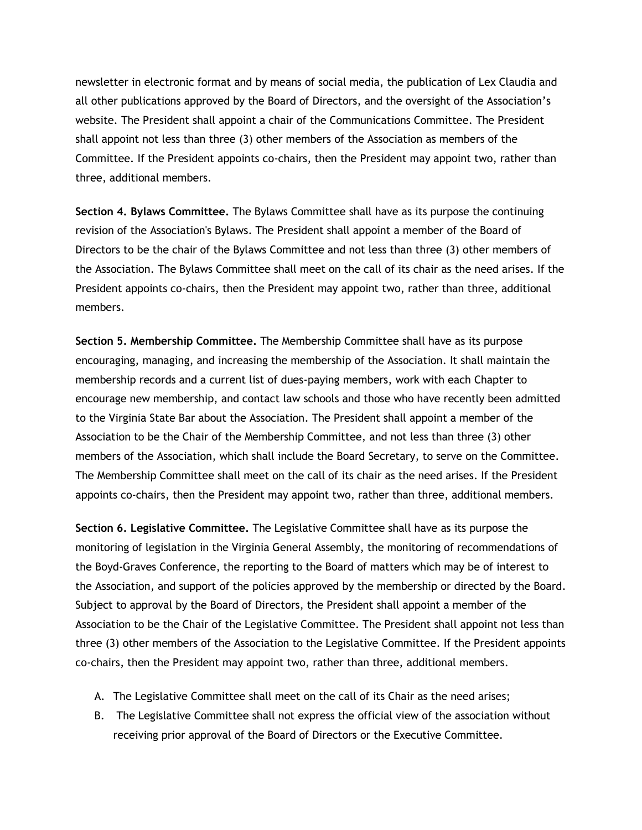newsletter in electronic format and by means of social media, the publication of Lex Claudia and all other publications approved by the Board of Directors, and the oversight of the Association's website. The President shall appoint a chair of the Communications Committee. The President shall appoint not less than three (3) other members of the Association as members of the Committee. If the President appoints co-chairs, then the President may appoint two, rather than three, additional members.

**Section 4. Bylaws Committee.** The Bylaws Committee shall have as its purpose the continuing revision of the Association's Bylaws. The President shall appoint a member of the Board of Directors to be the chair of the Bylaws Committee and not less than three (3) other members of the Association. The Bylaws Committee shall meet on the call of its chair as the need arises. If the President appoints co-chairs, then the President may appoint two, rather than three, additional members.

**Section 5. Membership Committee.** The Membership Committee shall have as its purpose encouraging, managing, and increasing the membership of the Association. It shall maintain the membership records and a current list of dues-paying members, work with each Chapter to encourage new membership, and contact law schools and those who have recently been admitted to the Virginia State Bar about the Association. The President shall appoint a member of the Association to be the Chair of the Membership Committee, and not less than three (3) other members of the Association, which shall include the Board Secretary, to serve on the Committee. The Membership Committee shall meet on the call of its chair as the need arises. If the President appoints co-chairs, then the President may appoint two, rather than three, additional members.

**Section 6. Legislative Committee.** The Legislative Committee shall have as its purpose the monitoring of legislation in the Virginia General Assembly, the monitoring of recommendations of the Boyd-Graves Conference, the reporting to the Board of matters which may be of interest to the Association, and support of the policies approved by the membership or directed by the Board. Subject to approval by the Board of Directors, the President shall appoint a member of the Association to be the Chair of the Legislative Committee. The President shall appoint not less than three (3) other members of the Association to the Legislative Committee. If the President appoints co-chairs, then the President may appoint two, rather than three, additional members.

- A. The Legislative Committee shall meet on the call of its Chair as the need arises;
- B. The Legislative Committee shall not express the official view of the association without receiving prior approval of the Board of Directors or the Executive Committee.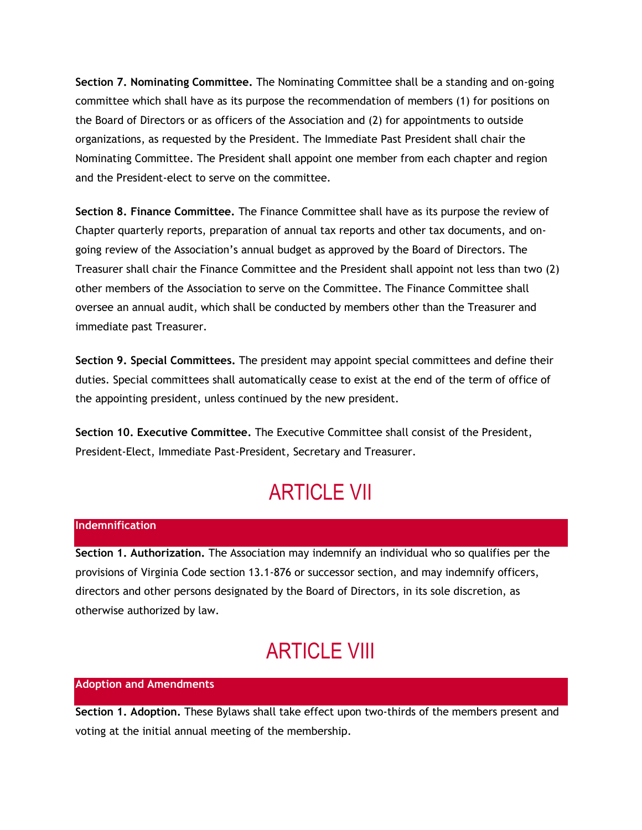**Section 7. Nominating Committee.** The Nominating Committee shall be a standing and on-going committee which shall have as its purpose the recommendation of members (1) for positions on the Board of Directors or as officers of the Association and (2) for appointments to outside organizations, as requested by the President. The Immediate Past President shall chair the Nominating Committee. The President shall appoint one member from each chapter and region and the President-elect to serve on the committee.

**Section 8. Finance Committee.** The Finance Committee shall have as its purpose the review of Chapter quarterly reports, preparation of annual tax reports and other tax documents, and ongoing review of the Association's annual budget as approved by the Board of Directors. The Treasurer shall chair the Finance Committee and the President shall appoint not less than two (2) other members of the Association to serve on the Committee. The Finance Committee shall oversee an annual audit, which shall be conducted by members other than the Treasurer and immediate past Treasurer.

**Section 9. Special Committees.** The president may appoint special committees and define their duties. Special committees shall automatically cease to exist at the end of the term of office of the appointing president, unless continued by the new president.

**Section 10. Executive Committee.** The Executive Committee shall consist of the President, President-Elect, Immediate Past-President, Secretary and Treasurer.

# ARTICLE VII

### **Indemnification**

**Section 1. Authorization.** The Association may indemnify an individual who so qualifies per the provisions of Virginia Code section 13.1-876 or successor section, and may indemnify officers, directors and other persons designated by the Board of Directors, in its sole discretion, as otherwise authorized by law.

## **ARTICLE VIII**

### **Adoption and Amendments**

**Section 1. Adoption.** These Bylaws shall take effect upon two-thirds of the members present and voting at the initial annual meeting of the membership.